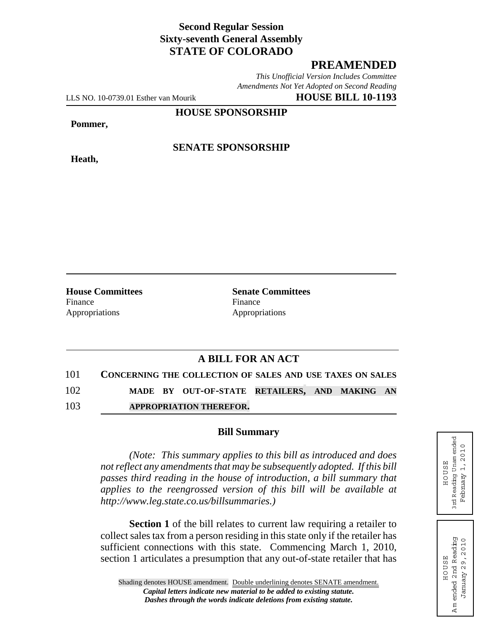## **Second Regular Session Sixty-seventh General Assembly STATE OF COLORADO**

## **PREAMENDED**

*This Unofficial Version Includes Committee Amendments Not Yet Adopted on Second Reading*

LLS NO. 10-0739.01 Esther van Mourik **HOUSE BILL 10-1193**

**HOUSE SPONSORSHIP**

**Pommer,**

**Heath,**

**SENATE SPONSORSHIP**

Finance Finance **Finance** Appropriations Appropriations

**House Committees Senate Committees** 

## **A BILL FOR AN ACT**

| 101 |  | CONCERNING THE COLLECTION OF SALES AND USE TAXES ON SALES |  |  |
|-----|--|-----------------------------------------------------------|--|--|
| 102 |  | MADE BY OUT-OF-STATE RETAILERS, AND MAKING AN             |  |  |
| 103 |  | <b>APPROPRIATION THEREFOR.</b>                            |  |  |

## **Bill Summary**

*(Note: This summary applies to this bill as introduced and does not reflect any amendments that may be subsequently adopted. If this bill passes third reading in the house of introduction, a bill summary that applies to the reengrossed version of this bill will be available at http://www.leg.state.co.us/billsummaries.)*

**Section 1** of the bill relates to current law requiring a retailer to collect sales tax from a person residing in this state only if the retailer has sufficient connections with this state. Commencing March 1, 2010, section 1 articulates a presumption that any out-of-state retailer that has

3 md Reading Unam ended 3rd Reading Unam ended Febmary 1, 2010 February 1,2010 HOUSE HOUSE

HOUSE A m ended 2nd Reading January 29,2010

**HOUSE** 

Am ended 2nd Reading January 29, 2010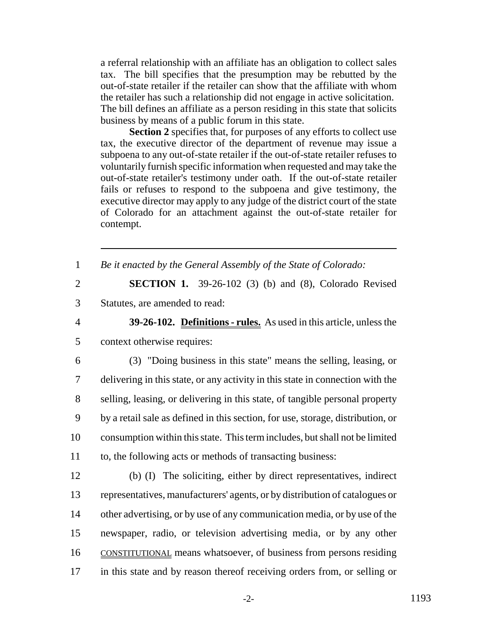a referral relationship with an affiliate has an obligation to collect sales tax. The bill specifies that the presumption may be rebutted by the out-of-state retailer if the retailer can show that the affiliate with whom the retailer has such a relationship did not engage in active solicitation. The bill defines an affiliate as a person residing in this state that solicits business by means of a public forum in this state.

**Section 2** specifies that, for purposes of any efforts to collect use tax, the executive director of the department of revenue may issue a subpoena to any out-of-state retailer if the out-of-state retailer refuses to voluntarily furnish specific information when requested and may take the out-of-state retailer's testimony under oath. If the out-of-state retailer fails or refuses to respond to the subpoena and give testimony, the executive director may apply to any judge of the district court of the state of Colorado for an attachment against the out-of-state retailer for contempt.

1 *Be it enacted by the General Assembly of the State of Colorado:*

2 **SECTION 1.** 39-26-102 (3) (b) and (8), Colorado Revised 3 Statutes, are amended to read:

4 **39-26-102. Definitions - rules.** As used in this article, unless the 5 context otherwise requires:

 (3) "Doing business in this state" means the selling, leasing, or delivering in this state, or any activity in this state in connection with the selling, leasing, or delivering in this state, of tangible personal property by a retail sale as defined in this section, for use, storage, distribution, or consumption within this state. This term includes, but shall not be limited to, the following acts or methods of transacting business:

 (b) (I) The soliciting, either by direct representatives, indirect representatives, manufacturers' agents, or by distribution of catalogues or 14 other advertising, or by use of any communication media, or by use of the newspaper, radio, or television advertising media, or by any other CONSTITUTIONAL means whatsoever, of business from persons residing in this state and by reason thereof receiving orders from, or selling or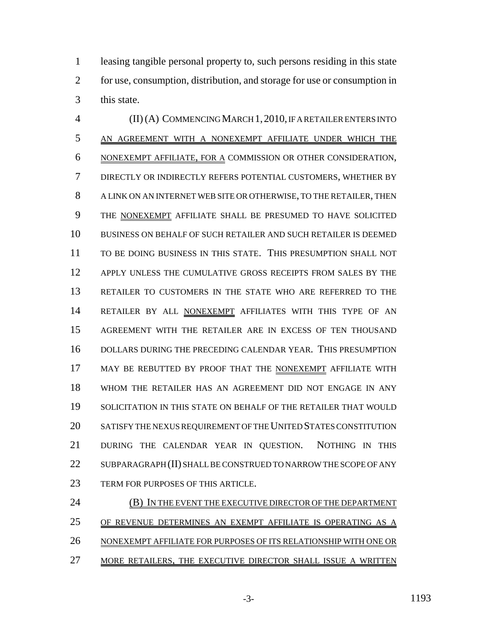leasing tangible personal property to, such persons residing in this state for use, consumption, distribution, and storage for use or consumption in this state.

 (II) (A) COMMENCING MARCH 1,2010, IF A RETAILER ENTERS INTO AN AGREEMENT WITH A NONEXEMPT AFFILIATE UNDER WHICH THE NONEXEMPT AFFILIATE, FOR A COMMISSION OR OTHER CONSIDERATION, DIRECTLY OR INDIRECTLY REFERS POTENTIAL CUSTOMERS, WHETHER BY A LINK ON AN INTERNET WEB SITE OR OTHERWISE, TO THE RETAILER, THEN THE NONEXEMPT AFFILIATE SHALL BE PRESUMED TO HAVE SOLICITED BUSINESS ON BEHALF OF SUCH RETAILER AND SUCH RETAILER IS DEEMED TO BE DOING BUSINESS IN THIS STATE. THIS PRESUMPTION SHALL NOT APPLY UNLESS THE CUMULATIVE GROSS RECEIPTS FROM SALES BY THE RETAILER TO CUSTOMERS IN THE STATE WHO ARE REFERRED TO THE 14 RETAILER BY ALL NONEXEMPT AFFILIATES WITH THIS TYPE OF AN AGREEMENT WITH THE RETAILER ARE IN EXCESS OF TEN THOUSAND DOLLARS DURING THE PRECEDING CALENDAR YEAR. THIS PRESUMPTION 17 MAY BE REBUTTED BY PROOF THAT THE NONEXEMPT AFFILIATE WITH WHOM THE RETAILER HAS AN AGREEMENT DID NOT ENGAGE IN ANY SOLICITATION IN THIS STATE ON BEHALF OF THE RETAILER THAT WOULD SATISFY THE NEXUS REQUIREMENT OF THE UNITED STATES CONSTITUTION DURING THE CALENDAR YEAR IN QUESTION. NOTHING IN THIS SUBPARAGRAPH (II) SHALL BE CONSTRUED TO NARROW THE SCOPE OF ANY 23 TERM FOR PURPOSES OF THIS ARTICLE.

**(B) IN THE EVENT THE EXECUTIVE DIRECTOR OF THE DEPARTMENT** 25 OF REVENUE DETERMINES AN EXEMPT AFFILIATE IS OPERATING AS A NONEXEMPT AFFILIATE FOR PURPOSES OF ITS RELATIONSHIP WITH ONE OR 27 MORE RETAILERS, THE EXECUTIVE DIRECTOR SHALL ISSUE A WRITTEN

-3- 1193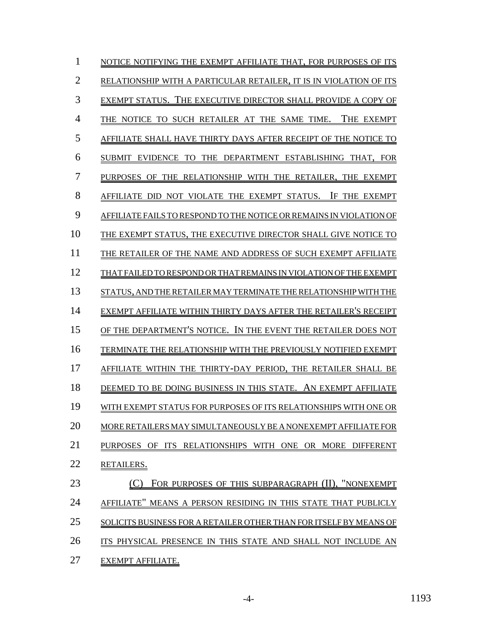| 1  | NOTICE NOTIFYING THE EXEMPT AFFILIATE THAT. FOR PURPOSES OF ITS           |
|----|---------------------------------------------------------------------------|
| 2  | RELATIONSHIP WITH A PARTICULAR RETAILER. IT IS IN VIOLATION OF ITS        |
| 3  | EXEMPT STATUS. THE EXECUTIVE DIRECTOR SHALL PROVIDE A COPY OF             |
| 4  | THE EXEMPT<br>THE NOTICE TO SUCH RETAILER AT THE SAME TIME.               |
| 5  | AFFILIATE SHALL HAVE THIRTY DAYS AFTER RECEIPT OF THE NOTICE TO           |
| 6  | THE DEPARTMENT ESTABLISHING THAT, FOR<br>SUBMIT<br><b>EVIDENCE</b><br>TO. |
| 7  | PURPOSES OF THE RELATIONSHIP WITH THE RETAILER. THE EXEMPT                |
| 8  | AFFILIATE DID NOT VIOLATE THE EXEMPT STATUS.<br>IF THE EXEMPT             |
| 9  | AFFILIATE FAILS TO RESPOND TO THE NOTICE OR REMAINS IN VIOLATION OF       |
| 10 | THE EXEMPT STATUS. THE EXECUTIVE DIRECTOR SHALL GIVE NOTICE TO            |
| 11 | THE RETAILER OF THE NAME AND ADDRESS OF SUCH EXEMPT AFFILIATE             |
| 12 | THAT FAILED TO RESPOND OR THAT REMAINS IN VIOLATION OF THE EXEMPT         |
| 13 | STATUS, AND THE RETAILER MAY TERMINATE THE RELATIONSHIP WITH THE          |
| 14 | EXEMPT AFFILIATE WITHIN THIRTY DAYS AFTER THE RETAILER'S RECEIPT          |
| 15 | OF THE DEPARTMENT'S NOTICE. IN THE EVENT THE RETAILER DOES NOT            |
| 16 | TERMINATE THE RELATIONSHIP WITH THE PREVIOUSLY NOTIFIED EXEMPT            |
| 17 | AFFILIATE WITHIN THE THIRTY-DAY PERIOD. THE RETAILER SHALL BE             |
| 18 | DEEMED TO BE DOING BUSINESS IN THIS STATE. AN EXEMPT AFFILIATE            |
| 19 | WITH EXEMPT STATUS FOR PURPOSES OF ITS RELATIONSHIPS WITH ONE OR          |
| 20 | MORE RETAILERS MAY SIMULTANEOUSLY BE A NONEXEMPT AFFILIATE FOR            |
| 21 | PURPOSES OF ITS RELATIONSHIPS WITH ONE OR MORE DIFFERENT                  |
| 22 | <b>RETAILERS.</b>                                                         |
| 23 | (C) FOR PURPOSES OF THIS SUBPARAGRAPH (II), "NONEXEMPT                    |
| 24 | AFFILIATE" MEANS A PERSON RESIDING IN THIS STATE THAT PUBLICLY            |
| 25 | SOLICITS BUSINESS FOR A RETAILER OTHER THAN FOR ITSELF BY MEANS OF        |
| 26 | ITS PHYSICAL PRESENCE IN THIS STATE AND SHALL NOT INCLUDE AN              |
| 27 | EXEMPT AFFILIATE.                                                         |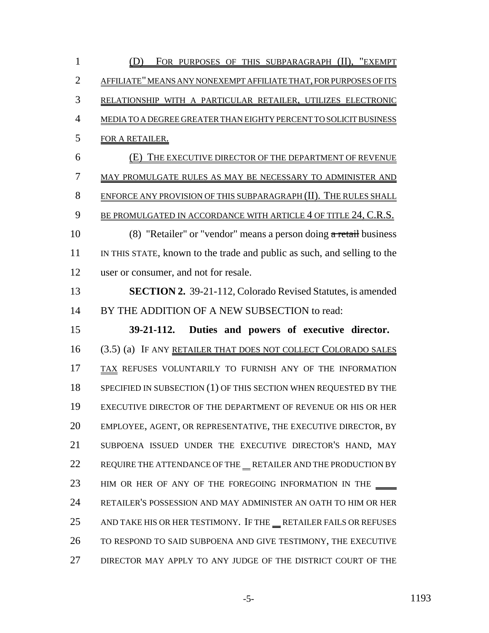(D) FOR PURPOSES OF THIS SUBPARAGRAPH (II), "EXEMPT AFFILIATE" MEANS ANY NONEXEMPT AFFILIATE THAT, FOR PURPOSES OF ITS RELATIONSHIP WITH A PARTICULAR RETAILER, UTILIZES ELECTRONIC MEDIA TO A DEGREE GREATER THAN EIGHTY PERCENT TO SOLICIT BUSINESS FOR A RETAILER. (E) THE EXECUTIVE DIRECTOR OF THE DEPARTMENT OF REVENUE MAY PROMULGATE RULES AS MAY BE NECESSARY TO ADMINISTER AND ENFORCE ANY PROVISION OF THIS SUBPARAGRAPH (II). THE RULES SHALL 9 BE PROMULGATED IN ACCORDANCE WITH ARTICLE 4 OF TITLE 24, C.R.S. (8) "Retailer" or "vendor" means a person doing a retail business IN THIS STATE, known to the trade and public as such, and selling to the user or consumer, and not for resale. **SECTION 2.** 39-21-112, Colorado Revised Statutes, is amended 14 BY THE ADDITION OF A NEW SUBSECTION to read: **39-21-112. Duties and powers of executive director.** (3.5) (a) IF ANY RETAILER THAT DOES NOT COLLECT COLORADO SALES 17 TAX REFUSES VOLUNTARILY TO FURNISH ANY OF THE INFORMATION 18 SPECIFIED IN SUBSECTION (1) OF THIS SECTION WHEN REQUESTED BY THE EXECUTIVE DIRECTOR OF THE DEPARTMENT OF REVENUE OR HIS OR HER EMPLOYEE, AGENT, OR REPRESENTATIVE, THE EXECUTIVE DIRECTOR, BY SUBPOENA ISSUED UNDER THE EXECUTIVE DIRECTOR'S HAND, MAY 22 REQUIRE THE ATTENDANCE OF THE RETAILER AND THE PRODUCTION BY 23 HIM OR HER OF ANY OF THE FOREGOING INFORMATION IN THE RETAILER'S POSSESSION AND MAY ADMINISTER AN OATH TO HIM OR HER 25 AND TAKE HIS OR HER TESTIMONY. IF THE RETAILER FAILS OR REFUSES TO RESPOND TO SAID SUBPOENA AND GIVE TESTIMONY, THE EXECUTIVE DIRECTOR MAY APPLY TO ANY JUDGE OF THE DISTRICT COURT OF THE

-5- 1193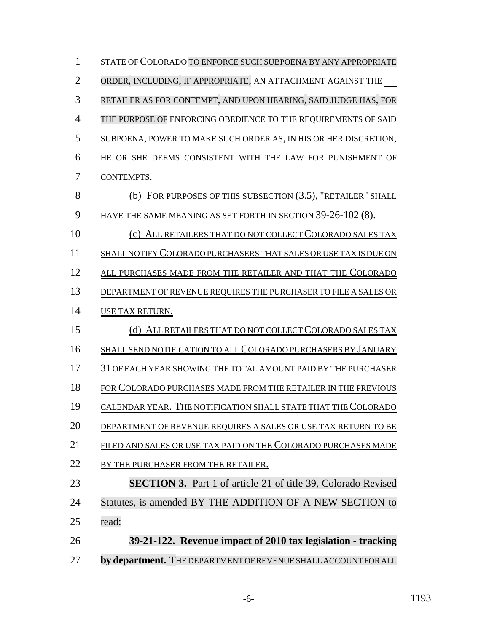| 1              | STATE OF COLORADO TO ENFORCE SUCH SUBPOENA BY ANY APPROPRIATE        |
|----------------|----------------------------------------------------------------------|
| $\overline{2}$ | ORDER, INCLUDING, IF APPROPRIATE, AN ATTACHMENT AGAINST THE __       |
| 3              | RETAILER AS FOR CONTEMPT, AND UPON HEARING, SAID JUDGE HAS, FOR      |
| $\overline{4}$ | THE PURPOSE OF ENFORCING OBEDIENCE TO THE REQUIREMENTS OF SAID       |
| 5              | SUBPOENA, POWER TO MAKE SUCH ORDER AS, IN HIS OR HER DISCRETION,     |
| 6              | HE OR SHE DEEMS CONSISTENT WITH THE LAW FOR PUNISHMENT OF            |
| 7              | CONTEMPTS.                                                           |
| 8              | (b) FOR PURPOSES OF THIS SUBSECTION (3.5), "RETAILER" SHALL          |
| 9              | HAVE THE SAME MEANING AS SET FORTH IN SECTION 39-26-102 (8).         |
| 10             | (c) ALL RETAILERS THAT DO NOT COLLECT COLORADO SALES TAX             |
| 11             | SHALL NOTIFY COLORADO PURCHASERS THAT SALES OR USE TAX IS DUE ON     |
| 12             | ALL PURCHASES MADE FROM THE RETAILER AND THAT THE COLORADO           |
| 13             | DEPARTMENT OF REVENUE REQUIRES THE PURCHASER TO FILE A SALES OR      |
| 14             | USE TAX RETURN.                                                      |
| 15             | (d) ALL RETAILERS THAT DO NOT COLLECT COLORADO SALES TAX             |
| 16             | SHALL SEND NOTIFICATION TO ALL COLORADO PURCHASERS BY JANUARY        |
| 17             | 31 OF EACH YEAR SHOWING THE TOTAL AMOUNT PAID BY THE PURCHASER       |
| 18             | FOR COLORADO PURCHASES MADE FROM THE RETAILER IN THE PREVIOUS        |
| 19             | CALENDAR YEAR. THE NOTIFICATION SHALL STATE THAT THE COLORADO        |
| 20             | DEPARTMENT OF REVENUE REQUIRES A SALES OR USE TAX RETURN TO BE       |
| 21             | FILED AND SALES OR USE TAX PAID ON THE COLORADO PURCHASES MADE       |
| 22             | BY THE PURCHASER FROM THE RETAILER.                                  |
| 23             | <b>SECTION 3.</b> Part 1 of article 21 of title 39, Colorado Revised |
| 24             | Statutes, is amended BY THE ADDITION OF A NEW SECTION to             |
| 25             | read:                                                                |
| 26             | 39-21-122. Revenue impact of 2010 tax legislation - tracking         |
| 27             | by department. THE DEPARTMENT OF REVENUE SHALL ACCOUNT FOR ALL       |